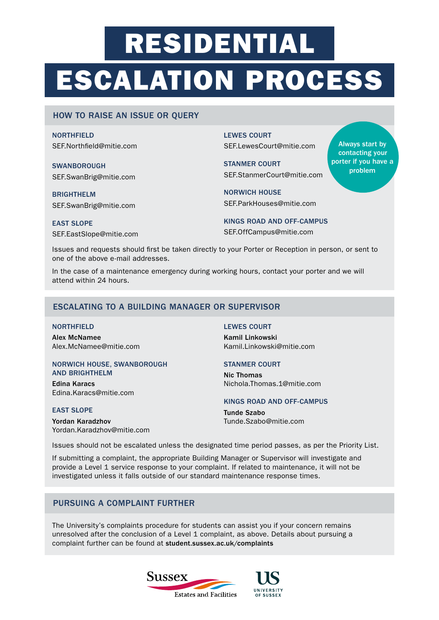# RESIDENTIAL ESCALATION PROCESS

## HOW TO RAISE AN ISSUE OR QUERY

**NORTHFIELD** SEF.Northfield@mitie.com

**SWANBOROUGH** SEF.SwanBrig@mitie.com

BRIGHTHELM SEF.SwanBrig@mitie.com

SEF.EastSlope@mitie.com

LEWES COURT SEF.LewesCourt@mitie.com

STANMER COURT SEF.StanmerCourt@mitie.com

NORWICH HOUSE SEF.ParkHouses@mitie.com

KINGS ROAD AND OFF-CAMPUS SEF.OffCampus@mitie.com

Issues and requests should first be taken directly to your Porter or Reception in person, or sent to one of the above e-mail addresses.

In the case of a maintenance emergency during working hours, contact your porter and we will attend within 24 hours.

## ESCALATING TO A BUILDING MANAGER OR SUPERVISOR

### **NORTHFIELD**

EAST SLOPE

Alex McNamee Alex.McNamee@mitie.com

### NORWICH HOUSE, SWANBOROUGH AND BRIGHTHELM

Edina Karacs Edina.Karacs@mitie.com

### EAST SLOPE

Yordan Karadzhov Yordan.Karadzhov@mitie.com

### LEWES COURT

Kamil Linkowski Kamil.Linkowski@mitie.com

### STANMER COURT

Nic Thomas Nichola.Thomas.1@mitie.com

### KINGS ROAD AND OFF-CAMPUS

Tunde Szabo Tunde.Szabo@mitie.com

Issues should not be escalated unless the designated time period passes, as per the Priority List.

If submitting a complaint, the appropriate Building Manager or Supervisor will investigate and provide a Level 1 service response to your complaint. If related to maintenance, it will not be investigated unless it falls outside of our standard maintenance response times.

## PURSUING A COMPLAINT FURTHER

The University's complaints procedure for students can assist you if your concern remains unresolved after the conclusion of a Level 1 complaint, as above. Details about pursuing a complaint further can be found at student.sussex.ac.uk/complaints





Always start by contacting your porter if you have a problem